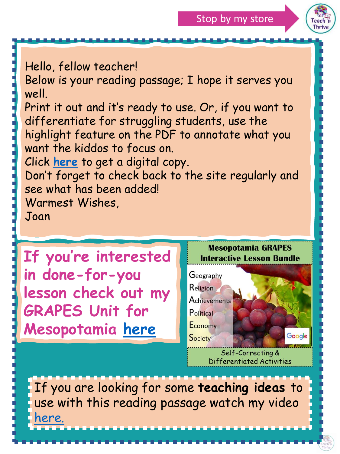



Hello, fellow teacher!

Below is your reading passage; I hope it serves you well.

Print it out and it's ready to use. Or, if you want to differentiate for struggling students, use the highlight feature on the PDF to annotate what you want the kiddos to focus on.

Click **[here](https://docs.google.com/presentation/d/1XaFT3XSgtJ0eonDz1npgEjBaPO7Pa-iZJq7ac0ytZ7w/copy)** to get a digital copy.

Don't forget to check back to the site regularly and see what has been added!

Warmest Wishes,

Joan



If you are looking for some **teaching ideas** to use with this reading passage watch my video <u>[here.](https://www.youtube.com/watch?v=L_Oz4coLok0&t=110s)</u>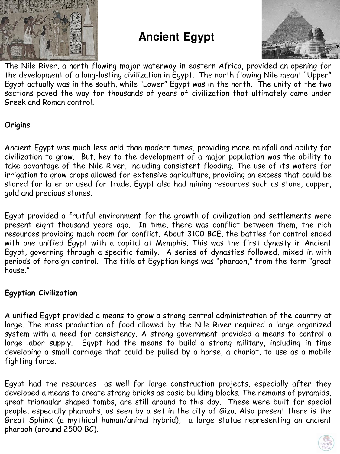

## **Ancient Egypt**



The Nile River, a north flowing major waterway in eastern Africa, provided an opening for the development of a long-lasting civilization in Egypt. The north flowing Nile meant "Upper" Egypt actually was in the south, while "Lower" Egypt was in the north. The unity of the two sections paved the way for thousands of years of civilization that ultimately came under Greek and Roman control.

## **Origins**

Ancient Egypt was much less arid than modern times, providing more rainfall and ability for civilization to grow. But, key to the development of a major population was the ability to take advantage of the Nile River, including consistent flooding. The use of its waters for irrigation to grow crops allowed for extensive agriculture, providing an excess that could be stored for later or used for trade. Egypt also had mining resources such as stone, copper, gold and precious stones.

Egypt provided a fruitful environment for the growth of civilization and settlements were present eight thousand years ago. In time, there was conflict between them, the rich resources providing much room for conflict. About 3100 BCE, the battles for control ended with one unified Egypt with a capital at Memphis. This was the first dynasty in Ancient Egypt, governing through a specific family. A series of dynasties followed, mixed in with periods of foreign control. The title of Egyptian kings was "pharaoh," from the term "great house."

## **Egyptian Civilization**

A unified Egypt provided a means to grow a strong central administration of the country at large. The mass production of food allowed by the Nile River required a large organized system with a need for consistency. A strong government provided a means to control a large labor supply. Egypt had the means to build a strong military, including in time developing a small carriage that could be pulled by a horse, a chariot, to use as a mobile fighting force.

Egypt had the resources as well for large construction projects, especially after they developed a means to create strong bricks as basic building blocks. The remains of pyramids, great triangular shaped tombs, are still around to this day. These were built for special people, especially pharaohs, as seen by a set in the city of Giza. Also present there is the Great Sphinx (a mythical human/animal hybrid), a large statue representing an ancient pharaoh (around 2500 BC).